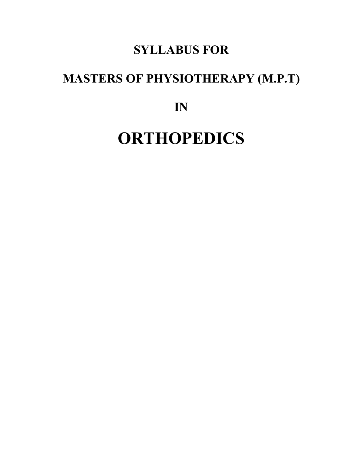## **SYLLABUS FOR**

# **MASTERS OF PHYSIOTHERAPY (M.P.T)**

**IN**

# **ORTHOPEDICS**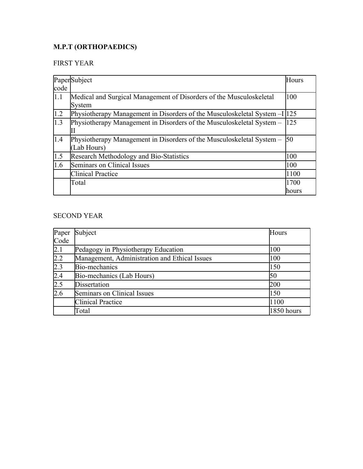### **M.P.T (ORTHOPAEDICS)**

### FIRST YEAR

|                  | PaperSubject                                                                         | Hours  |
|------------------|--------------------------------------------------------------------------------------|--------|
| code             |                                                                                      |        |
| 1.1              | Medical and Surgical Management of Disorders of the Musculoskeletal<br>System        | 100    |
| 1.2              | Physiotherapy Management in Disorders of the Musculoskeletal System - I              | 125    |
| $\overline{1.3}$ | Physiotherapy Management in Disorders of the Musculoskeletal System –                | 125    |
| 1.4              | Physiotherapy Management in Disorders of the Musculoskeletal System –<br>(Lab Hours) | 50     |
| 1.5              | Research Methodology and Bio-Statistics                                              | 100    |
| 1.6              | Seminars on Clinical Issues                                                          | 100    |
|                  | <b>Clinical Practice</b>                                                             | 1100   |
|                  | Total                                                                                | 1700   |
|                  |                                                                                      | lhours |

### SECOND YEAR

| Paper | Subject                                       | Hours      |
|-------|-----------------------------------------------|------------|
| Code  |                                               |            |
| 2.1   | Pedagogy in Physiotherapy Education           | 100        |
| 2.2   | Management, Administration and Ethical Issues | 100        |
| 2.3   | Bio-mechanics                                 | 150        |
| 2.4   | Bio-mechanics (Lab Hours)                     | 50         |
| 2.5   | Dissertation                                  | 200        |
| 2.6   | Seminars on Clinical Issues                   | 150        |
|       | <b>Clinical Practice</b>                      | 1100       |
|       | Total                                         | 1850 hours |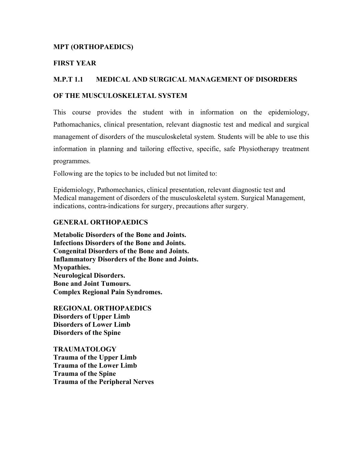#### **MPT (ORTHOPAEDICS)**

#### **FIRST YEAR**

#### **M.P.T 1.1 MEDICAL AND SURGICAL MANAGEMENT OF DISORDERS**

#### **OF THE MUSCULOSKELETAL SYSTEM**

This course provides the student with in information on the epidemiology, Pathomachanics, clinical presentation, relevant diagnostic test and medical and surgical management of disorders of the musculoskeletal system. Students will be able to use this information in planning and tailoring effective, specific, safe Physiotherapy treatment programmes.

Following are the topics to be included but not limited to:

Epidemiology, Pathomechanics, clinical presentation, relevant diagnostic test and Medical management of disorders of the musculoskeletal system. Surgical Management, indications, contra-indications for surgery, precautions after surgery.

#### **GENERAL ORTHOPAEDICS**

**Metabolic Disorders of the Bone and Joints. Infections Disorders of the Bone and Joints. Congenital Disorders of the Bone and Joints. Inflammatory Disorders of the Bone and Joints. Myopathies. Neurological Disorders. Bone and Joint Tumours. Complex Regional Pain Syndromes.** 

**REGIONAL ORTHOPAEDICS Disorders of Upper Limb Disorders of Lower Limb Disorders of the Spine**

**TRAUMATOLOGY Trauma of the Upper Limb Trauma of the Lower Limb Trauma of the Spine Trauma of the Peripheral Nerves**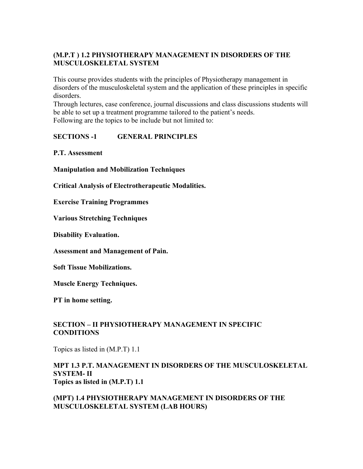#### **(M.P.T ) 1.2 PHYSIOTHERAPY MANAGEMENT IN DISORDERS OF THE MUSCULOSKELETAL SYSTEM**

This course provides students with the principles of Physiotherapy management in disorders of the musculoskeletal system and the application of these principles in specific disorders.

Through lectures, case conference, journal discussions and class discussions students will be able to set up a treatment programme tailored to the patient's needs. Following are the topics to be include but not limited to:

### **SECTIONS -1 GENERAL PRINCIPLES**

**P.T. Assessment** 

**Manipulation and Mobilization Techniques** 

**Critical Analysis of Electrotherapeutic Modalities.**

**Exercise Training Programmes**

**Various Stretching Techniques** 

**Disability Evaluation.**

**Assessment and Management of Pain.**

**Soft Tissue Mobilizations.** 

**Muscle Energy Techniques.** 

**PT in home setting.** 

### **SECTION – II PHYSIOTHERAPY MANAGEMENT IN SPECIFIC CONDITIONS**

Topics as listed in (M.P.T) 1.1

#### **MPT 1.3 P.T. MANAGEMENT IN DISORDERS OF THE MUSCULOSKELETAL SYSTEM- II Topics as listed in (M.P.T) 1.1**

**(MPT) 1.4 PHYSIOTHERAPY MANAGEMENT IN DISORDERS OF THE MUSCULOSKELETAL SYSTEM (LAB HOURS)**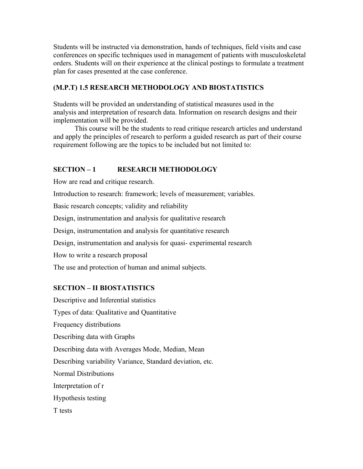Students will be instructed via demonstration, hands of techniques, field visits and case conferences on specific techniques used in management of patients with musculoskeletal orders. Students will on their experience at the clinical postings to formulate a treatment plan for cases presented at the case conference.

### **(M.P.T) 1.5 RESEARCH METHODOLOGY AND BIOSTATISTICS**

Students will be provided an understanding of statistical measures used in the analysis and interpretation of research data. Information on research designs and their implementation will be provided.

This course will be the students to read critique research articles and understand and apply the principles of research to perform a guided research as part of their course requirement following are the topics to be included but not limited to:

### **SECTION – 1 RESEARCH METHODOLOGY**

How are read and critique research.

Introduction to research: framework; levels of measurement; variables.

Basic research concepts; validity and reliability

Design, instrumentation and analysis for qualitative research

Design, instrumentation and analysis for quantitative research

Design, instrumentation and analysis for quasi- experimental research

How to write a research proposal

The use and protection of human and animal subjects.

#### **SECTION – II BIOSTATISTICS**

Descriptive and Inferential statistics Types of data: Qualitative and Quantitative Frequency distributions Describing data with Graphs Describing data with Averages Mode, Median, Mean Describing variability Variance, Standard deviation, etc. Normal Distributions Interpretation of r Hypothesis testing T tests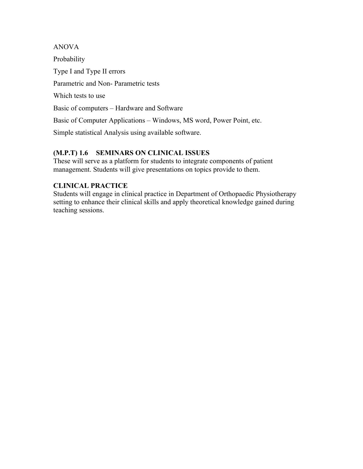ANOVA Probability Type I and Type II errors Parametric and Non- Parametric tests Which tests to use Basic of computers – Hardware and Software Basic of Computer Applications – Windows, MS word, Power Point, etc. Simple statistical Analysis using available software.

### **(M.P.T) 1.6 SEMINARS ON CLINICAL ISSUES**

These will serve as a platform for students to integrate components of patient management. Students will give presentations on topics provide to them.

### **CLINICAL PRACTICE**

Students will engage in clinical practice in Department of Orthopaedic Physiotherapy setting to enhance their clinical skills and apply theoretical knowledge gained during teaching sessions.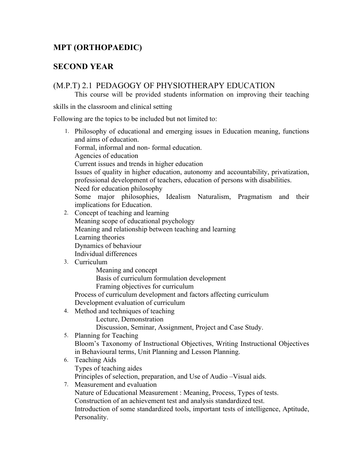### **MPT (ORTHOPAEDIC)**

### **SECOND YEAR**

### (M.P.T) 2.1 PEDAGOGY OF PHYSIOTHERAPY EDUCATION

This course will be provided students information on improving their teaching

skills in the classroom and clinical setting

Following are the topics to be included but not limited to:

- 1. Philosophy of educational and emerging issues in Education meaning, functions and aims of education. Formal, informal and non- formal education. Agencies of education Current issues and trends in higher education Issues of quality in higher education, autonomy and accountability, privatization, professional development of teachers, education of persons with disabilities. Need for education philosophy Some major philosophies, Idealism Naturalism, Pragmatism and their implications for Education. 2. Concept of teaching and learning
- Meaning scope of educational psychology Meaning and relationship between teaching and learning Learning theories Dynamics of behaviour Individual differences
- 3. Curriculum
	- Meaning and concept

Basis of curriculum formulation development

Framing objectives for curriculum

Process of curriculum development and factors affecting curriculum Development evaluation of curriculum

4. Method and techniques of teaching

Lecture, Demonstration

Discussion, Seminar, Assignment, Project and Case Study.

5. Planning for Teaching

Bloom's Taxonomy of Instructional Objectives, Writing Instructional Objectives in Behavioural terms, Unit Planning and Lesson Planning.

6. Teaching Aids Types of teaching aides

Principles of selection, preparation, and Use of Audio –Visual aids.

7. Measurement and evaluation

Nature of Educational Measurement : Meaning, Process, Types of tests.

Construction of an achievement test and analysis standardized test.

Introduction of some standardized tools, important tests of intelligence, Aptitude, Personality.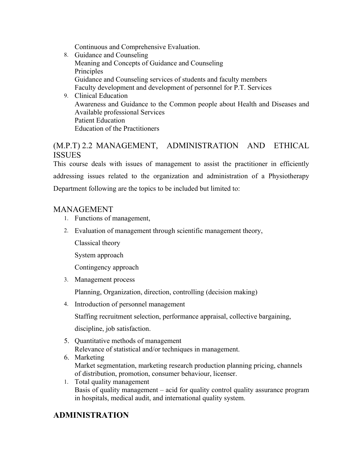Continuous and Comprehensive Evaluation.

- 8. Guidance and Counseling Meaning and Concepts of Guidance and Counseling Principles Guidance and Counseling services of students and faculty members Faculty development and development of personnel for P.T. Services
- 9. Clinical Education Awareness and Guidance to the Common people about Health and Diseases and Available professional Services Patient Education Education of the Practitioners

### (M.P.T) 2.2 MANAGEMENT, ADMINISTRATION AND ETHICAL **ISSUES**

This course deals with issues of management to assist the practitioner in efficiently addressing issues related to the organization and administration of a Physiotherapy Department following are the topics to be included but limited to:

### MANAGEMENT

- 1. Functions of management,
- 2. Evaluation of management through scientific management theory,

Classical theory

System approach

Contingency approach

3. Management process

Planning, Organization, direction, controlling (decision making)

4. Introduction of personnel management

Staffing recruitment selection, performance appraisal, collective bargaining,

discipline, job satisfaction.

- 5. Quantitative methods of management Relevance of statistical and/or techniques in management.
- 6. Marketing Market segmentation, marketing research production planning pricing, channels of distribution, promotion, consumer behaviour, licenser.
- 1. Total quality management Basis of quality management – acid for quality control quality assurance program in hospitals, medical audit, and international quality system.

### **ADMINISTRATION**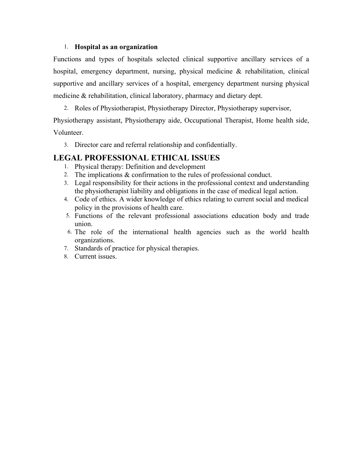#### 1. **Hospital as an organization**

Functions and types of hospitals selected clinical supportive ancillary services of a hospital, emergency department, nursing, physical medicine & rehabilitation, clinical supportive and ancillary services of a hospital, emergency department nursing physical medicine & rehabilitation, clinical laboratory, pharmacy and dietary dept.

2. Roles of Physiotherapist, Physiotherapy Director, Physiotherapy supervisor,

Physiotherapy assistant, Physiotherapy aide, Occupational Therapist, Home health side, Volunteer.

3. Director care and referral relationship and confidentially.

### **LEGAL PROFESSIONAL ETHICAL ISSUES**

- 1. Physical therapy: Definition and development
- 2. The implications & confirmation to the rules of professional conduct.
- 3. Legal responsibility for their actions in the professional context and understanding the physiotherapist liability and obligations in the case of medical legal action.
- 4. Code of ethics. A wider knowledge of ethics relating to current social and medical policy in the provisions of health care.
- 5. Functions of the relevant professional associations education body and trade union.
- 6. The role of the international health agencies such as the world health organizations.
- 7. Standards of practice for physical therapies.
- 8. Current issues.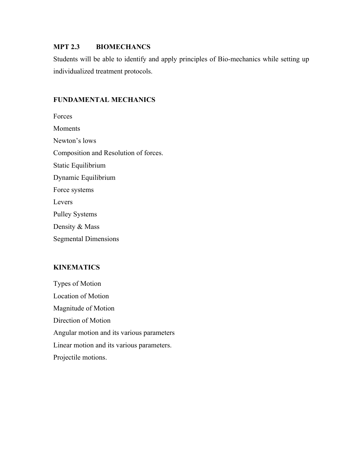#### **MPT 2.3 BIOMECHANCS**

Students will be able to identify and apply principles of Bio-mechanics while setting up individualized treatment protocols.

#### **FUNDAMENTAL MECHANICS**

Forces **Moments** Newton's lows Composition and Resolution of forces. Static Equilibrium Dynamic Equilibrium Force systems Levers Pulley Systems Density & Mass Segmental Dimensions

#### **KINEMATICS**

Types of Motion Location of Motion Magnitude of Motion Direction of Motion Angular motion and its various parameters Linear motion and its various parameters. Projectile motions.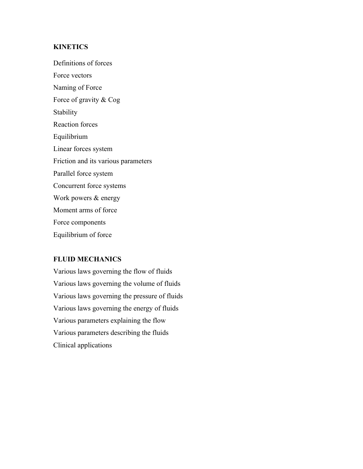#### **KINETICS**

Definitions of forces Force vectors Naming of Force Force of gravity & Cog **Stability** Reaction forces Equilibrium Linear forces system Friction and its various parameters Parallel force system Concurrent force systems Work powers & energy Moment arms of force Force components Equilibrium of force

#### **FLUID MECHANICS**

Various laws governing the flow of fluids Various laws governing the volume of fluids Various laws governing the pressure of fluids Various laws governing the energy of fluids Various parameters explaining the flow Various parameters describing the fluids Clinical applications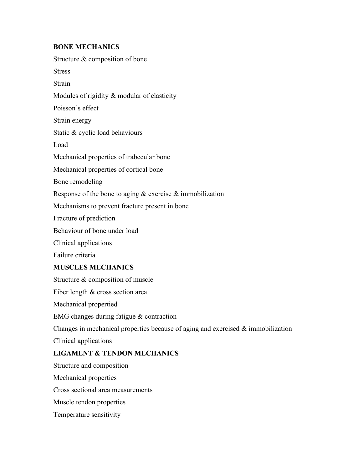#### **BONE MECHANICS**

Structure & composition of bone Stress **Strain** Modules of rigidity & modular of elasticity Poisson's effect Strain energy Static & cyclic load behaviours Load Mechanical properties of trabecular bone Mechanical properties of cortical bone Bone remodeling Response of the bone to aging  $&$  exercise  $&$  immobilization Mechanisms to prevent fracture present in bone Fracture of prediction Behaviour of bone under load Clinical applications Failure criteria **MUSCLES MECHANICS** Structure & composition of muscle Fiber length & cross section area Mechanical propertied EMG changes during fatigue & contraction Changes in mechanical properties because of aging and exercised  $\&$  immobilization Clinical applications **LIGAMENT & TENDON MECHANICS**  Structure and composition Mechanical properties Cross sectional area measurements Muscle tendon properties

Temperature sensitivity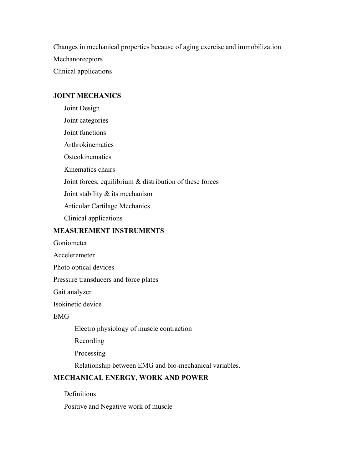Changes in mechanical properties because of aging exercise and immobilization Mechanorecptors Clinical applications

#### **JOINT MECHANICS**

Joint Design Joint categories Joint functions **Arthrokinematics Osteokinematics** Kinematics chairs Joint forces, equilibrium & distribution of these forces Joint stability & its mechanism Articular Cartilage Mechanics Clinical applications

#### **MEASUREMENT INSTRUMENTS**

Goniometer

Acceleremeter

Photo optical devices

Pressure transducers and force plates

Gait analyzer

Isokinetic device

### EMG

Electro physiology of muscle contraction

Recording

Processing

Relationship between EMG and bio-mechanical variables.

### **MECHANICAL ENERGY, WORK AND POWER**

Definitions

Positive and Negative work of muscle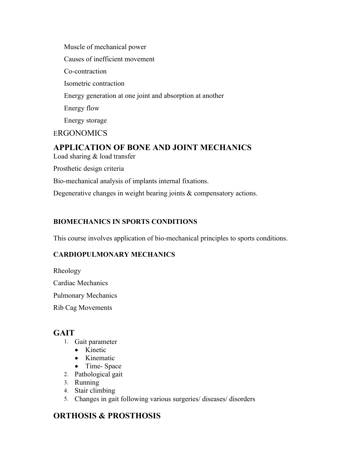Muscle of mechanical power Causes of inefficient movement Co-contraction Isometric contraction Energy generation at one joint and absorption at another Energy flow Energy storage **ERGONOMICS** 

### **APPLICATION OF BONE AND JOINT MECHANICS**

Load sharing & load transfer

Prosthetic design criteria

Bio-mechanical analysis of implants internal fixations.

Degenerative changes in weight bearing joints & compensatory actions.

### **BIOMECHANICS IN SPORTS CONDITIONS**

This course involves application of bio-mechanical principles to sports conditions.

### **CARDIOPULMONARY MECHANICS**

Rheology

Cardiac Mechanics

Pulmonary Mechanics

Rib Cag Movements

### **GAIT**

- 1. Gait parameter
	- Kinetic
	- Kinematic
	- Time-Space
- 2. Pathological gait
- 3. Running
- 4. Stair climbing
- 5. Changes in gait following various surgeries/ diseases/ disorders

### **ORTHOSIS & PROSTHOSIS**